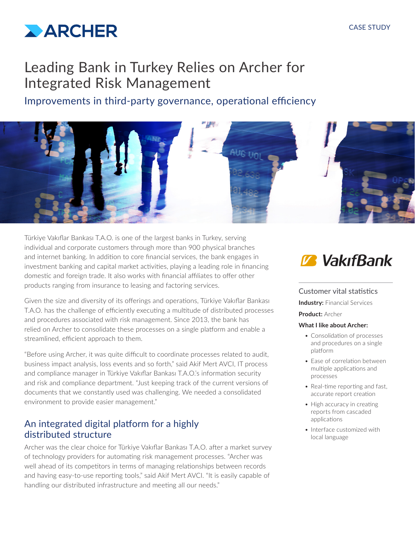#### CASE STUDY



## Leading Bank in Turkey Relies on Archer for Integrated Risk Management

Improvements in third-party governance, operational efficiency



Türkiye Vakıflar Bankası T.A.O. is one of the largest banks in Turkey, serving individual and corporate customers through more than 900 physical branches and internet banking. In addition to core financial services, the bank engages in investment banking and capital market activities, playing a leading role in financing domestic and foreign trade. It also works with financial affiliates to offer other products ranging from insurance to leasing and factoring services.

Given the size and diversity of its offerings and operations, Türkiye Vakıflar Bankası T.A.O. has the challenge of efficiently executing a multitude of distributed processes and procedures associated with risk management. Since 2013, the bank has relied on Archer to consolidate these processes on a single platform and enable a streamlined, efficient approach to them.

"Before using Archer, it was quite difficult to coordinate processes related to audit, business impact analysis, loss events and so forth," said Akif Mert AVCI, IT process and compliance manager in Türkiye Vakıflar Bankası T.A.O.'s information security and risk and compliance department. "Just keeping track of the current versions of documents that we constantly used was challenging. We needed a consolidated environment to provide easier management."

## An integrated digital platform for a highly distributed structure

Archer was the clear choice for Türkiye Vakıflar Bankası T.A.O. after a market survey of technology providers for automating risk management processes. "Archer was well ahead of its competitors in terms of managing relationships between records and having easy-to-use reporting tools," said Akif Mert AVCI. "It is easily capable of handling our distributed infrastructure and meeting all our needs."

# **Z** VakıfBank

#### Customer vital statistics

**Industry: Financial Services** 

**Product:** Archer

#### **What I like about Archer:**

- Consolidation of processes and procedures on a single platform
- Ease of correlation between multiple applications and processes
- Real-time reporting and fast, accurate report creation
- High accuracy in creating reports from cascaded applications
- Interface customized with local language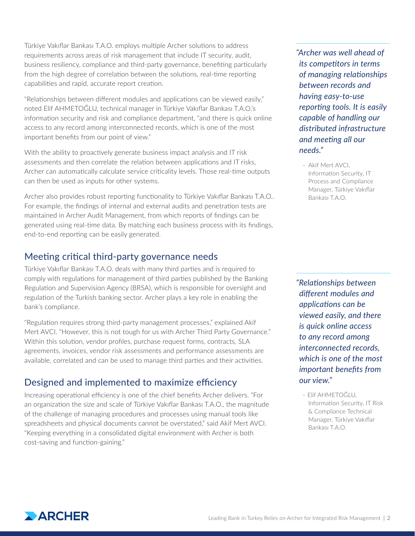Türkiye Vakıflar Bankası T.A.O. employs multiple Archer solutions to address requirements across areas of risk management that include IT security, audit, business resiliency, compliance and third-party governance, benefiting particularly from the high degree of correlation between the solutions, real-time reporting capabilities and rapid, accurate report creation.

"Relationships between different modules and applications can be viewed easily," noted Elif AHMETOĞLU, technical manager in Türkiye Vakıflar Bankası T.A.O.'s information security and risk and compliance department, "and there is quick online access to any record among interconnected records, which is one of the most important benefits from our point of view."

With the ability to proactively generate business impact analysis and IT risk assessments and then correlate the relation between applications and IT risks, Archer can automatically calculate service criticality levels. Those real-time outputs can then be used as inputs for other systems.

Archer also provides robust reporting functionality to Türkiye Vakıflar Bankası T.A.O.. For example, the findings of internal and external audits and penetration tests are maintained in Archer Audit Management, from which reports of findings can be generated using real-time data. By matching each business process with its findings, end-to-end reporting can be easily generated.

## Meeting critical third-party governance needs

Türkiye Vakıflar Bankası T.A.O. deals with many third parties and is required to comply with regulations for management of third parties published by the Banking Regulation and Supervision Agency (BRSA), which is responsible for oversight and regulation of the Turkish banking sector. Archer plays a key role in enabling the bank's compliance.

"Regulation requires strong third-party management processes," explained Akif Mert AVCI. "However, this is not tough for us with Archer Third Party Governance." Within this solution, vendor profiles, purchase request forms, contracts, SLA agreements, invoices, vendor risk assessments and performance assessments are available, correlated and can be used to manage third parties and their activities.

## Designed and implemented to maximize efficiency

Increasing operational efficiency is one of the chief benefits Archer delivers. "For an organization the size and scale of Türkiye Vakıflar Bankası T.A.O., the magnitude of the challenge of managing procedures and processes using manual tools like spreadsheets and physical documents cannot be overstated," said Akif Mert AVCI. "Keeping everything in a consolidated digital environment with Archer is both cost-saving and function-gaining."

*"Archer was well ahead of its competitors in terms of managing relationships between records and having easy-to-use reporting tools. It is easily capable of handling our distributed infrastructure and meeting all our needs."* 

– Akif Mert AVCI, Information Security, IT Process and Compliance Manager, Türkiye Vakıflar Bankası T.A.O.

*"Relationships between different modules and applications can be viewed easily, and there is quick online access to any record among interconnected records, which is one of the most important benefits from our view."*

– Elif AHMETOĞLU, Information Security, IT Risk & Compliance Technical Manager, Türkiye Vakıflar Bankası T.A.O.